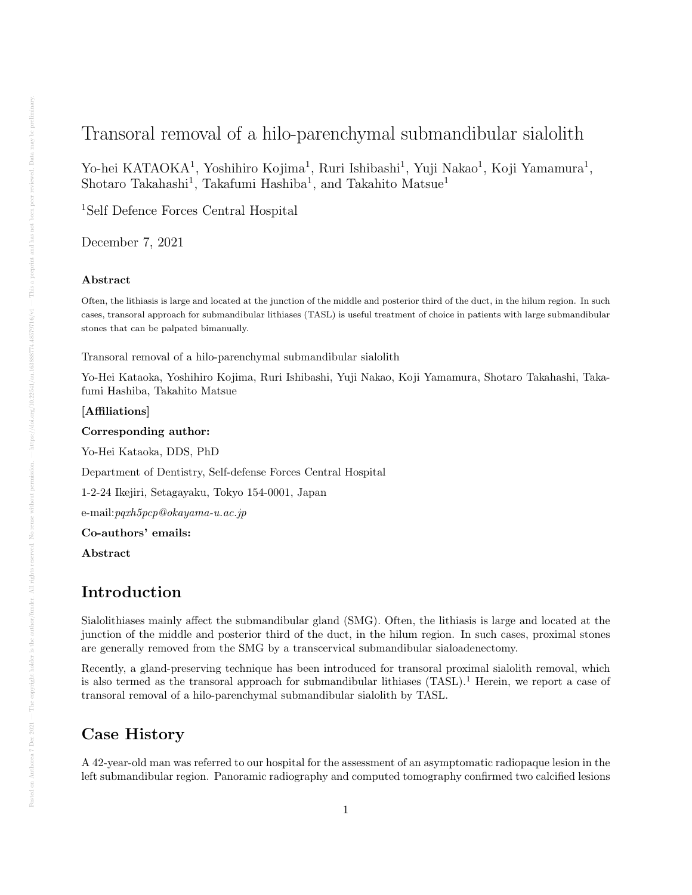# Transoral removal of a hilo-parenchymal submandibular sialolith

Yo-hei KATAOKA<sup>1</sup>, Yoshihiro Kojima<sup>1</sup>, Ruri Ishibashi<sup>1</sup>, Yuji Nakao<sup>1</sup>, Koji Yamamura<sup>1</sup>, Shotaro Takahashi<sup>1</sup>, Takafumi Hashiba<sup>1</sup>, and Takahito Matsue<sup>1</sup>

<sup>1</sup>Self Defence Forces Central Hospital

December 7, 2021

### Abstract

Often, the lithiasis is large and located at the junction of the middle and posterior third of the duct, in the hilum region. In such cases, transoral approach for submandibular lithiases (TASL) is useful treatment of choice in patients with large submandibular stones that can be palpated bimanually.

Transoral removal of a hilo-parenchymal submandibular sialolith

Yo-Hei Kataoka, Yoshihiro Kojima, Ruri Ishibashi, Yuji Nakao, Koji Yamamura, Shotaro Takahashi, Takafumi Hashiba, Takahito Matsue

### [Affiliations]

Corresponding author:

Yo-Hei Kataoka, DDS, PhD

Department of Dentistry, Self-defense Forces Central Hospital

1-2-24 Ikejiri, Setagayaku, Tokyo 154-0001, Japan

e-mail:pqxh5pcp@okayama-u.ac.jp

Co-authors' emails:

Abstract

## Introduction

Sialolithiases mainly affect the submandibular gland (SMG). Often, the lithiasis is large and located at the junction of the middle and posterior third of the duct, in the hilum region. In such cases, proximal stones are generally removed from the SMG by a transcervical submandibular sialoadenectomy.

Recently, a gland-preserving technique has been introduced for transoral proximal sialolith removal, which is also termed as the transoral approach for submandibular lithiases (TASL).<sup>1</sup> Herein, we report a case of transoral removal of a hilo-parenchymal submandibular sialolith by TASL.

### Case History

A 42-year-old man was referred to our hospital for the assessment of an asymptomatic radiopaque lesion in the left submandibular region. Panoramic radiography and computed tomography confirmed two calcified lesions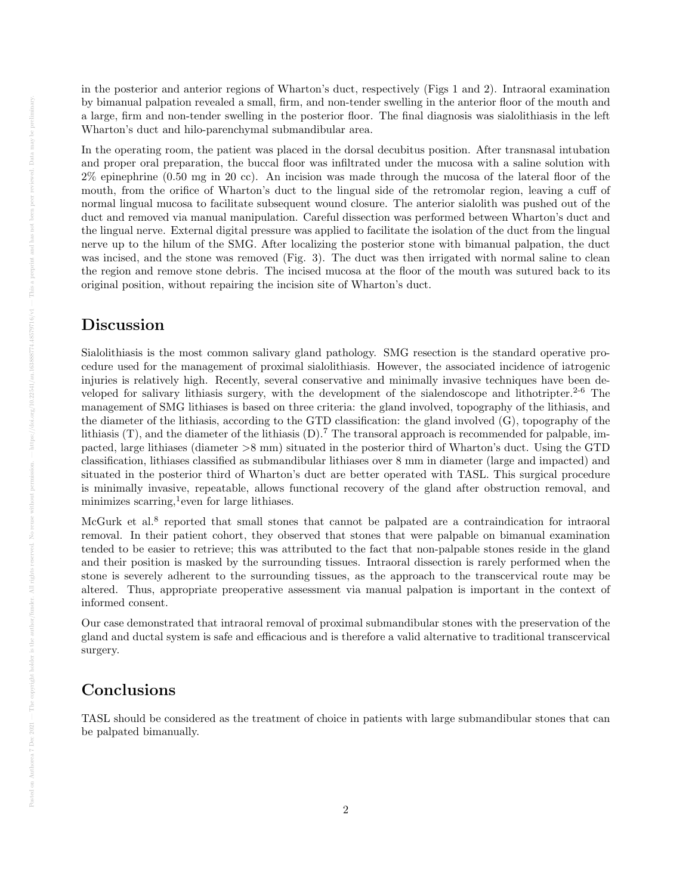in the posterior and anterior regions of Wharton's duct, respectively (Figs 1 and 2). Intraoral examination by bimanual palpation revealed a small, firm, and non-tender swelling in the anterior floor of the mouth and a large, firm and non-tender swelling in the posterior floor. The final diagnosis was sialolithiasis in the left Wharton's duct and hilo-parenchymal submandibular area.

In the operating room, the patient was placed in the dorsal decubitus position. After transnasal intubation and proper oral preparation, the buccal floor was infiltrated under the mucosa with a saline solution with 2% epinephrine (0.50 mg in 20 cc). An incision was made through the mucosa of the lateral floor of the mouth, from the orifice of Wharton's duct to the lingual side of the retromolar region, leaving a cuff of normal lingual mucosa to facilitate subsequent wound closure. The anterior sialolith was pushed out of the duct and removed via manual manipulation. Careful dissection was performed between Wharton's duct and the lingual nerve. External digital pressure was applied to facilitate the isolation of the duct from the lingual nerve up to the hilum of the SMG. After localizing the posterior stone with bimanual palpation, the duct was incised, and the stone was removed (Fig. 3). The duct was then irrigated with normal saline to clean the region and remove stone debris. The incised mucosa at the floor of the mouth was sutured back to its original position, without repairing the incision site of Wharton's duct.

## Discussion

Sialolithiasis is the most common salivary gland pathology. SMG resection is the standard operative procedure used for the management of proximal sialolithiasis. However, the associated incidence of iatrogenic injuries is relatively high. Recently, several conservative and minimally invasive techniques have been developed for salivary lithiasis surgery, with the development of the sialendoscope and lithotripter.<sup>2-6</sup> The management of SMG lithiases is based on three criteria: the gland involved, topography of the lithiasis, and the diameter of the lithiasis, according to the GTD classification: the gland involved (G), topography of the lithiasis  $(T)$ , and the diameter of the lithiasis  $(D)$ .<sup>7</sup> The transoral approach is recommended for palpable, impacted, large lithiases (diameter >8 mm) situated in the posterior third of Wharton's duct. Using the GTD classification, lithiases classified as submandibular lithiases over 8 mm in diameter (large and impacted) and situated in the posterior third of Wharton's duct are better operated with TASL. This surgical procedure is minimally invasive, repeatable, allows functional recovery of the gland after obstruction removal, and minimizes scarring,<sup>1</sup> even for large lithiases.

McGurk et al.<sup>8</sup> reported that small stones that cannot be palpated are a contraindication for intraoral removal. In their patient cohort, they observed that stones that were palpable on bimanual examination tended to be easier to retrieve; this was attributed to the fact that non-palpable stones reside in the gland and their position is masked by the surrounding tissues. Intraoral dissection is rarely performed when the stone is severely adherent to the surrounding tissues, as the approach to the transcervical route may be altered. Thus, appropriate preoperative assessment via manual palpation is important in the context of informed consent.

Our case demonstrated that intraoral removal of proximal submandibular stones with the preservation of the gland and ductal system is safe and efficacious and is therefore a valid alternative to traditional transcervical surgery.

## Conclusions

TASL should be considered as the treatment of choice in patients with large submandibular stones that can be palpated bimanually.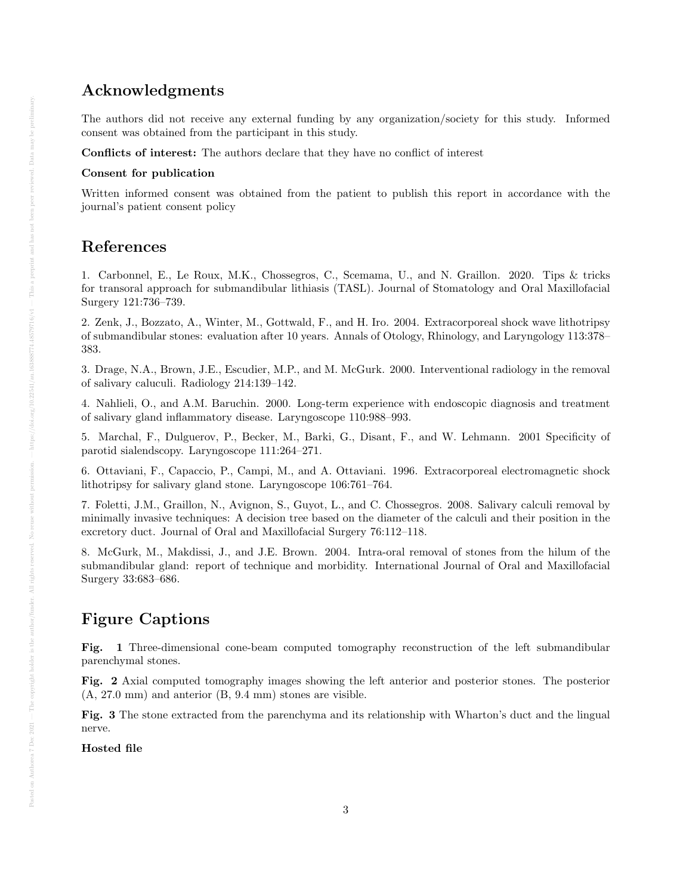## Acknowledgments

The authors did not receive any external funding by any organization/society for this study. Informed consent was obtained from the participant in this study.

Conflicts of interest: The authors declare that they have no conflict of interest

### Consent for publication

Written informed consent was obtained from the patient to publish this report in accordance with the journal's patient consent policy

## References

1. Carbonnel, E., Le Roux, M.K., Chossegros, C., Scemama, U., and N. Graillon. 2020. Tips & tricks for transoral approach for submandibular lithiasis (TASL). Journal of Stomatology and Oral Maxillofacial Surgery 121:736–739.

2. Zenk, J., Bozzato, A., Winter, M., Gottwald, F., and H. Iro. 2004. Extracorporeal shock wave lithotripsy of submandibular stones: evaluation after 10 years. Annals of Otology, Rhinology, and Laryngology 113:378– 383.

3. Drage, N.A., Brown, J.E., Escudier, M.P., and M. McGurk. 2000. Interventional radiology in the removal of salivary caluculi. Radiology 214:139–142.

4. Nahlieli, O., and A.M. Baruchin. 2000. Long-term experience with endoscopic diagnosis and treatment of salivary gland inflammatory disease. Laryngoscope 110:988–993.

5. Marchal, F., Dulguerov, P., Becker, M., Barki, G., Disant, F., and W. Lehmann. 2001 Specificity of parotid sialendscopy. Laryngoscope 111:264–271.

6. Ottaviani, F., Capaccio, P., Campi, M., and A. Ottaviani. 1996. Extracorporeal electromagnetic shock lithotripsy for salivary gland stone. Laryngoscope 106:761–764.

7. Foletti, J.M., Graillon, N., Avignon, S., Guyot, L., and C. Chossegros. 2008. Salivary calculi removal by minimally invasive techniques: A decision tree based on the diameter of the calculi and their position in the excretory duct. Journal of Oral and Maxillofacial Surgery 76:112–118.

8. McGurk, M., Makdissi, J., and J.E. Brown. 2004. Intra-oral removal of stones from the hilum of the submandibular gland: report of technique and morbidity. International Journal of Oral and Maxillofacial Surgery 33:683–686.

# Figure Captions

Fig. 1 Three-dimensional cone-beam computed tomography reconstruction of the left submandibular parenchymal stones.

Fig. 2 Axial computed tomography images showing the left anterior and posterior stones. The posterior (A, 27.0 mm) and anterior (B, 9.4 mm) stones are visible.

Fig. 3 The stone extracted from the parenchyma and its relationship with Wharton's duct and the lingual nerve.

Hosted file